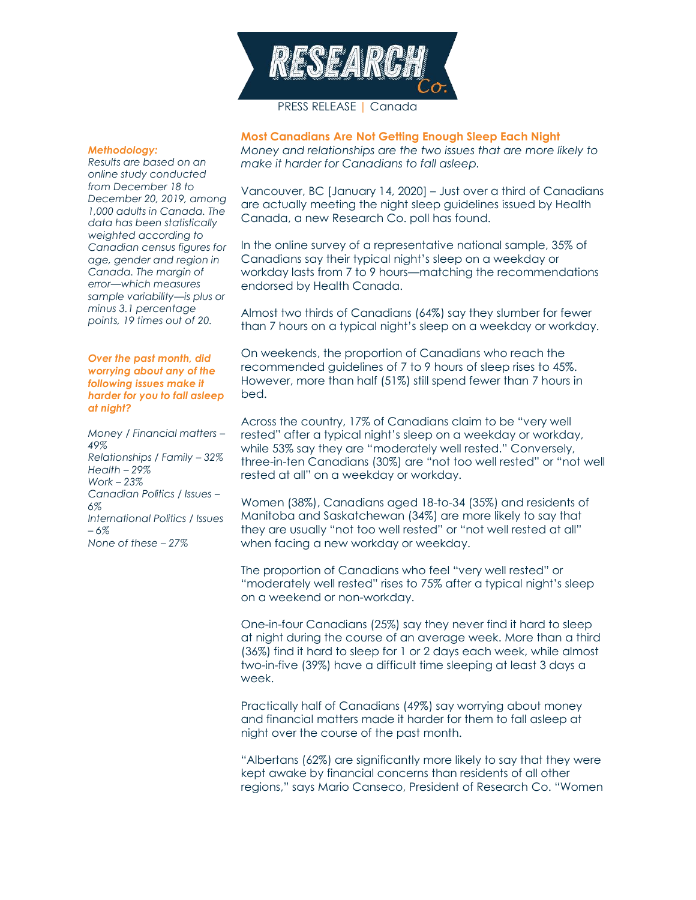

# PRESS RELEASE | Canada

#### *Methodology:*

*Results are based on an online study conducted from December 18 to December 20, 2019, among 1,000 adults in Canada. The data has been statistically weighted according to Canadian census figures for age, gender and region in Canada. The margin of error—which measures sample variability—is plus or minus 3.1 percentage points, 19 times out of 20.*

#### *Over the past month, did worrying about any of the following issues make it harder for you to fall asleep at night?*

*Money / Financial matters – 49% Relationships / Family – 32% Health – 29% Work – 23% Canadian Politics / Issues – 6% International Politics / Issues – 6% None of these – 27%* 

**Most Canadians Are Not Getting Enough Sleep Each Night** *Money and relationships are the two issues that are more likely to make it harder for Canadians to fall asleep.*

Vancouver, BC [January 14, 2020] – Just over a third of Canadians are actually meeting the night sleep guidelines issued by Health Canada, a new Research Co. poll has found.

In the online survey of a representative national sample, 35% of Canadians say their typical night's sleep on a weekday or workday lasts from 7 to 9 hours—matching the recommendations endorsed by Health Canada.

Almost two thirds of Canadians (64%) say they slumber for fewer than 7 hours on a typical night's sleep on a weekday or workday.

On weekends, the proportion of Canadians who reach the recommended guidelines of 7 to 9 hours of sleep rises to 45%. However, more than half (51%) still spend fewer than 7 hours in bed.

Across the country, 17% of Canadians claim to be "very well rested" after a typical night's sleep on a weekday or workday, while 53% say they are "moderately well rested." Conversely, three-in-ten Canadians (30%) are "not too well rested" or "not well rested at all" on a weekday or workday.

Women (38%), Canadians aged 18-to-34 (35%) and residents of Manitoba and Saskatchewan (34%) are more likely to say that they are usually "not too well rested" or "not well rested at all" when facing a new workday or weekday.

The proportion of Canadians who feel "very well rested" or "moderately well rested" rises to 75% after a typical night's sleep on a weekend or non-workday.

One-in-four Canadians (25%) say they never find it hard to sleep at night during the course of an average week. More than a third (36%) find it hard to sleep for 1 or 2 days each week, while almost two-in-five (39%) have a difficult time sleeping at least 3 days a week.

Practically half of Canadians (49%) say worrying about money and financial matters made it harder for them to fall asleep at night over the course of the past month.

"Albertans (62%) are significantly more likely to say that they were kept awake by financial concerns than residents of all other regions," says Mario Canseco, President of Research Co. "Women